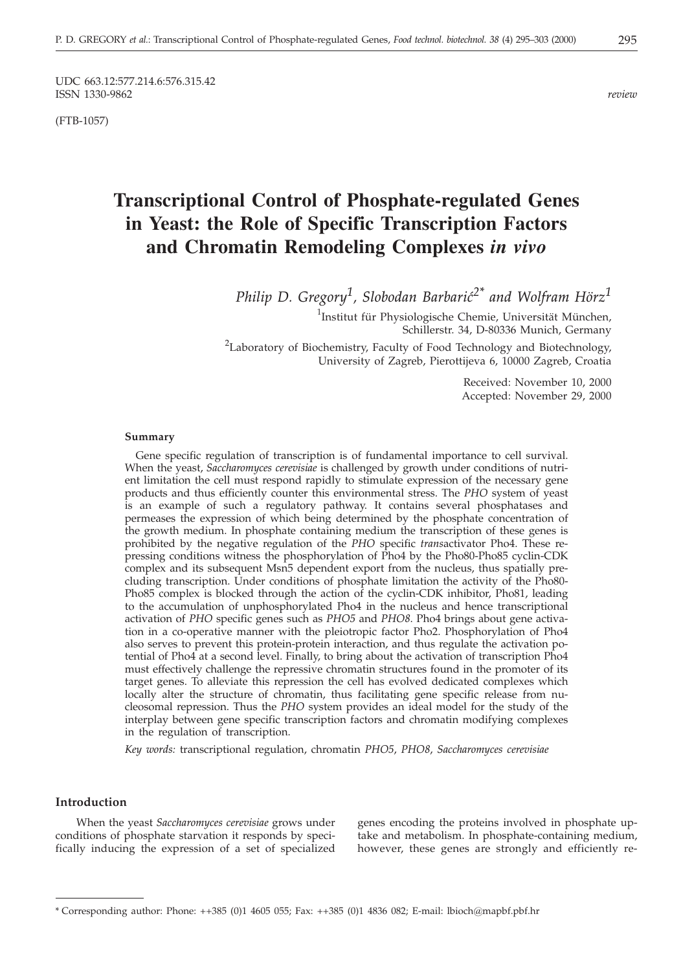UDC 663.12:577.214.6:576.315.42<br>ISSN 1330-9862 ISSN 1330-9862 *review*

(FTB-1057)

# **Transcriptional Control of Phosphate-regulated Genes in Yeast: the Role of Specific Transcription Factors and Chromatin Remodeling Complexes** *in vivo*

*Philip D. Gregory<sup>1</sup>, Slobodan Barbarić*<sup>2\*</sup> *and Wolfram Hörz*<sup>1</sup>

<sup>1</sup>Institut für Physiologische Chemie, Universität München, Schillerstr. 34, D-80336 Munich, Germany

<sup>2</sup>Laboratory of Biochemistry, Faculty of Food Technology and Biotechnology, University of Zagreb, Pierottijeva 6, 10000 Zagreb, Croatia

> Received: November 10, 2000 Accepted: November 29, 2000

### **Summary**

Gene specific regulation of transcription is of fundamental importance to cell survival. When the yeast, *Saccharomyces cerevisiae* is challenged by growth under conditions of nutrient limitation the cell must respond rapidly to stimulate expression of the necessary gene products and thus efficiently counter this environmental stress. The *PHO* system of yeast is an example of such a regulatory pathway. It contains several phosphatases and permeases the expression of which being determined by the phosphate concentration of the growth medium. In phosphate containing medium the transcription of these genes is prohibited by the negative regulation of the *PHO* specific *trans*activator Pho4. These repressing conditions witness the phosphorylation of Pho4 by the Pho80-Pho85 cyclin-CDK complex and its subsequent Msn5 dependent export from the nucleus, thus spatially precluding transcription. Under conditions of phosphate limitation the activity of the Pho80- Pho85 complex is blocked through the action of the cyclin-CDK inhibitor, Pho81, leading to the accumulation of unphosphorylated Pho4 in the nucleus and hence transcriptional activation of *PHO* specific genes such as *PHO5* and *PHO8*. Pho4 brings about gene activation in a co-operative manner with the pleiotropic factor Pho2. Phosphorylation of Pho4 also serves to prevent this protein-protein interaction, and thus regulate the activation potential of Pho4 at a second level. Finally, to bring about the activation of transcription Pho4 must effectively challenge the repressive chromatin structures found in the promoter of its target genes. To alleviate this repression the cell has evolved dedicated complexes which locally alter the structure of chromatin, thus facilitating gene specific release from nucleosomal repression. Thus the *PHO* system provides an ideal model for the study of the interplay between gene specific transcription factors and chromatin modifying complexes in the regulation of transcription.

*Key words:* transcriptional regulation, chromatin *PHO5*, *PHO8*, *Saccharomyces cerevisiae*

# **Introduction**

When the yeast *Saccharomyces cerevisiae* grows under conditions of phosphate starvation it responds by specifically inducing the expression of a set of specialized

genes encoding the proteins involved in phosphate uptake and metabolism. In phosphate-containing medium, however, these genes are strongly and efficiently re-

<sup>\*</sup> Corresponding author: Phone: ++385 (0)1 4605 055; Fax: ++385 (0)1 4836 082; E-mail: lbioch*@*mapbf.pbf.hr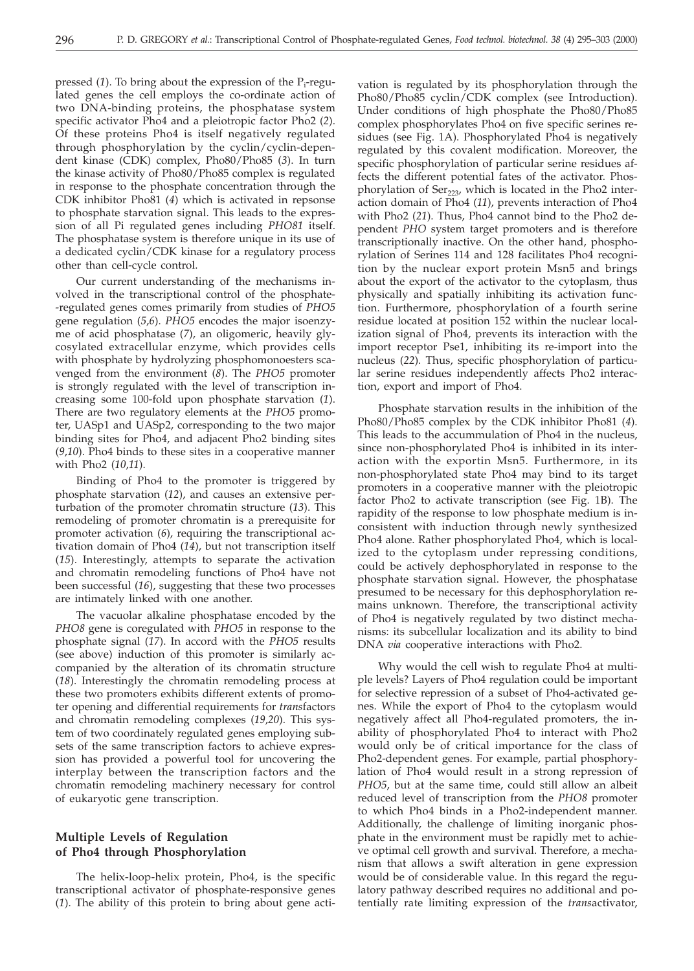pressed (1). To bring about the expression of the P<sub>i</sub>-regulated genes the cell employs the co-ordinate action of two DNA-binding proteins, the phosphatase system specific activator Pho4 and a pleiotropic factor Pho2 (*2*). Of these proteins Pho4 is itself negatively regulated through phosphorylation by the cyclin/cyclin-dependent kinase (CDK) complex, Pho80/Pho85 (*3*). In turn the kinase activity of Pho80/Pho85 complex is regulated in response to the phosphate concentration through the CDK inhibitor Pho81 (*4*) which is activated in repsonse to phosphate starvation signal. This leads to the expression of all Pi regulated genes including *PHO81* itself. The phosphatase system is therefore unique in its use of a dedicated cyclin/CDK kinase for a regulatory process other than cell-cycle control.

Our current understanding of the mechanisms involved in the transcriptional control of the phosphate- -regulated genes comes primarily from studies of *PHO5* gene regulation (*5*,*6*). *PHO5* encodes the major isoenzyme of acid phosphatase (*7*), an oligomeric, heavily glycosylated extracellular enzyme, which provides cells with phosphate by hydrolyzing phosphomonoesters scavenged from the environment (*8*). The *PHO5* promoter is strongly regulated with the level of transcription increasing some 100-fold upon phosphate starvation (*1*). There are two regulatory elements at the *PHO5* promoter, UASp1 and UASp2, corresponding to the two major binding sites for Pho4, and adjacent Pho2 binding sites (*9*,*10*). Pho4 binds to these sites in a cooperative manner with Pho2 (*10*,*11*).

Binding of Pho4 to the promoter is triggered by phosphate starvation (*12*), and causes an extensive perturbation of the promoter chromatin structure (*13*). This remodeling of promoter chromatin is a prerequisite for promoter activation (*6*), requiring the transcriptional activation domain of Pho4 (*14*), but not transcription itself (*15*). Interestingly, attempts to separate the activation and chromatin remodeling functions of Pho4 have not been successful (*16*), suggesting that these two processes are intimately linked with one another.

The vacuolar alkaline phosphatase encoded by the *PHO8* gene is coregulated with *PHO5* in response to the phosphate signal (*17*). In accord with the *PHO5* results (see above) induction of this promoter is similarly accompanied by the alteration of its chromatin structure (*18*). Interestingly the chromatin remodeling process at these two promoters exhibits different extents of promoter opening and differential requirements for *trans*factors and chromatin remodeling complexes (*19*,*20*). This system of two coordinately regulated genes employing subsets of the same transcription factors to achieve expression has provided a powerful tool for uncovering the interplay between the transcription factors and the chromatin remodeling machinery necessary for control of eukaryotic gene transcription.

# **Multiple Levels of Regulation of Pho4 through Phosphorylation**

The helix-loop-helix protein, Pho4, is the specific transcriptional activator of phosphate-responsive genes (*1*). The ability of this protein to bring about gene acti-

vation is regulated by its phosphorylation through the Pho80/Pho85 cyclin/CDK complex (see Introduction). Under conditions of high phosphate the Pho80/Pho85 complex phosphorylates Pho4 on five specific serines residues (see Fig. 1A). Phosphorylated Pho4 is negatively regulated by this covalent modification. Moreover, the specific phosphorylation of particular serine residues affects the different potential fates of the activator. Phosphorylation of  $Ser_{223}$ , which is located in the Pho2 interaction domain of Pho4 (*11*), prevents interaction of Pho4 with Pho2 (*21*). Thus, Pho4 cannot bind to the Pho2 dependent *PHO* system target promoters and is therefore transcriptionally inactive. On the other hand, phosphorylation of Serines 114 and 128 facilitates Pho4 recognition by the nuclear export protein Msn5 and brings about the export of the activator to the cytoplasm, thus physically and spatially inhibiting its activation function. Furthermore, phosphorylation of a fourth serine residue located at position 152 within the nuclear localization signal of Pho4, prevents its interaction with the import receptor Pse1, inhibiting its re-import into the nucleus (*22*). Thus, specific phosphorylation of particular serine residues independently affects Pho2 interaction, export and import of Pho4.

Phosphate starvation results in the inhibition of the Pho80/Pho85 complex by the CDK inhibitor Pho81 (*4*). This leads to the accummulation of Pho4 in the nucleus, since non-phosphorylated Pho4 is inhibited in its interaction with the exportin Msn5. Furthermore, in its non-phosphorylated state Pho4 may bind to its target promoters in a cooperative manner with the pleiotropic factor Pho2 to activate transcription (see Fig. 1B). The rapidity of the response to low phosphate medium is inconsistent with induction through newly synthesized Pho4 alone. Rather phosphorylated Pho4, which is localized to the cytoplasm under repressing conditions, could be actively dephosphorylated in response to the phosphate starvation signal. However, the phosphatase presumed to be necessary for this dephosphorylation remains unknown. Therefore, the transcriptional activity of Pho4 is negatively regulated by two distinct mechanisms: its subcellular localization and its ability to bind DNA *via* cooperative interactions with Pho2.

Why would the cell wish to regulate Pho4 at multiple levels? Layers of Pho4 regulation could be important for selective repression of a subset of Pho4-activated genes. While the export of Pho4 to the cytoplasm would negatively affect all Pho4-regulated promoters, the inability of phosphorylated Pho4 to interact with Pho2 would only be of critical importance for the class of Pho2-dependent genes. For example, partial phosphorylation of Pho4 would result in a strong repression of *PHO5*, but at the same time, could still allow an albeit reduced level of transcription from the *PHO8* promoter to which Pho4 binds in a Pho2-independent manner. Additionally, the challenge of limiting inorganic phosphate in the environment must be rapidly met to achieve optimal cell growth and survival. Therefore, a mechanism that allows a swift alteration in gene expression would be of considerable value. In this regard the regulatory pathway described requires no additional and potentially rate limiting expression of the *trans*activator,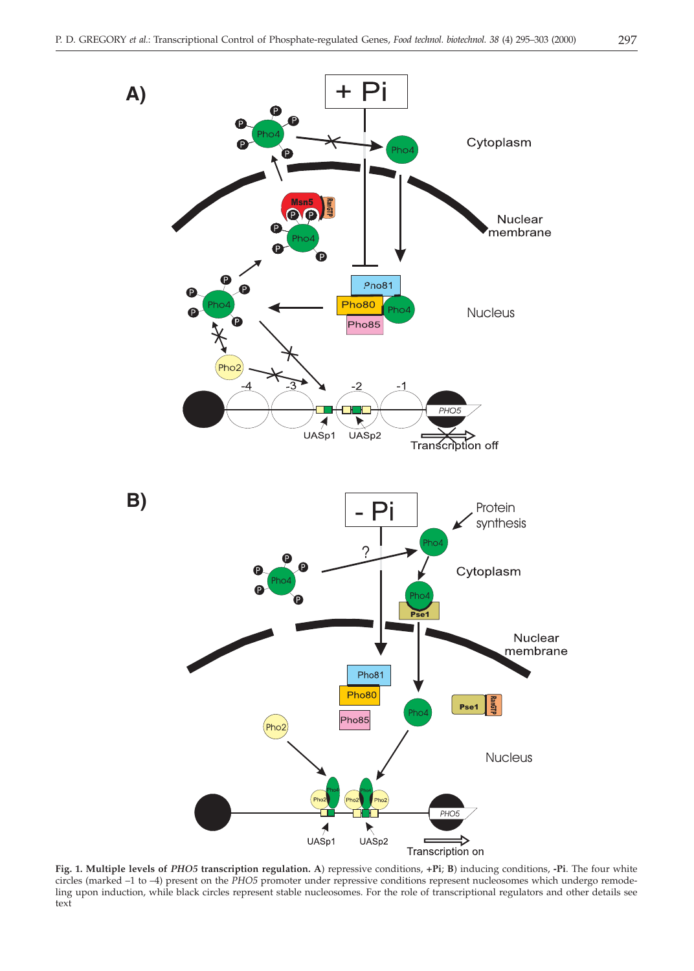

**Fig. 1. Multiple levels of** *PHO5* **transcription regulation. A**) repressive conditions, **+Pi**; **B**) inducing conditions, **-Pi**. The four white circles (marked –1 to –4) present on the *PHO5* promoter under repressive conditions represent nucleosomes which undergo remodeling upon induction, while black circles represent stable nucleosomes. For the role of transcriptional regulators and other details see text

 $\nightharpoonup$ <br>UASp2

Transcription on

 $\overrightarrow{A}$ <br>UASp1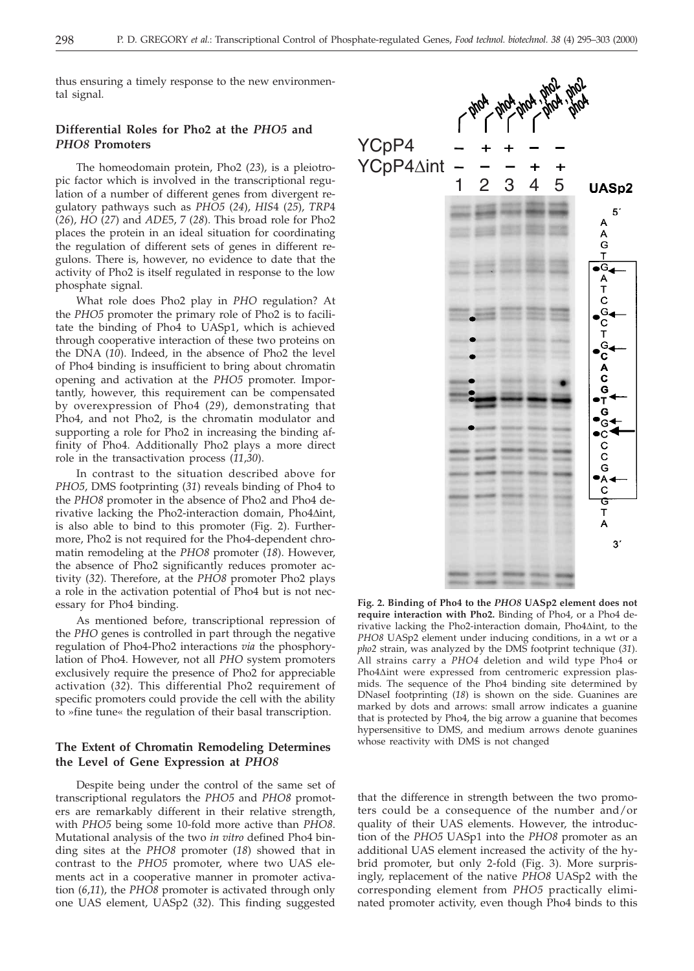thus ensuring a timely response to the new environmental signal.

# **Differential Roles for Pho2 at the** *PHO5* **and** *PHO8* **Promoters**

The homeodomain protein, Pho2 (*23*), is a pleiotropic factor which is involved in the transcriptional regulation of a number of different genes from divergent regulatory pathways such as *PHO5* (*24*), *HIS*4 (*25*), *TRP*4 (*26*), *HO* (*27*) and *ADE*5, 7 (*28*). This broad role for Pho2 places the protein in an ideal situation for coordinating the regulation of different sets of genes in different regulons. There is, however, no evidence to date that the activity of Pho2 is itself regulated in response to the low phosphate signal.

What role does Pho2 play in *PHO* regulation? At the *PHO5* promoter the primary role of Pho2 is to facilitate the binding of Pho4 to UASp1, which is achieved through cooperative interaction of these two proteins on the DNA (*10*). Indeed, in the absence of Pho2 the level of Pho4 binding is insufficient to bring about chromatin opening and activation at the *PHO5* promoter. Importantly, however, this requirement can be compensated by overexpression of Pho4 (*29*), demonstrating that Pho4, and not Pho2, is the chromatin modulator and supporting a role for Pho2 in increasing the binding affinity of Pho4. Additionally Pho2 plays a more direct role in the transactivation process (*11*,*30*).

In contrast to the situation described above for *PHO5*, DMS footprinting (*31*) reveals binding of Pho4 to the *PHO8* promoter in the absence of Pho2 and Pho4 derivative lacking the Pho2-interaction domain, Pho4Aint, is also able to bind to this promoter (Fig. 2). Furthermore, Pho2 is not required for the Pho4-dependent chromatin remodeling at the *PHO8* promoter (*18*). However, the absence of Pho2 significantly reduces promoter activity (*32*). Therefore, at the *PHO8* promoter Pho2 plays a role in the activation potential of Pho4 but is not necessary for Pho4 binding.

As mentioned before, transcriptional repression of the *PHO* genes is controlled in part through the negative regulation of Pho4-Pho2 interactions *via* the phosphorylation of Pho4. However, not all *PHO* system promoters exclusively require the presence of Pho2 for appreciable activation (*32*). This differential Pho2 requirement of specific promoters could provide the cell with the ability to »fine tune« the regulation of their basal transcription.

# **The Extent of Chromatin Remodeling Determines the Level of Gene Expression at** *PHO8*

Despite being under the control of the same set of transcriptional regulators the *PHO5* and *PHO8* promoters are remarkably different in their relative strength, with *PHO5* being some 10-fold more active than *PHO8*. Mutational analysis of the two *in vitro* defined Pho4 binding sites at the *PHO8* promoter (*18*) showed that in contrast to the *PHO5* promoter, where two UAS elements act in a cooperative manner in promoter activation (*6*,*11*), the *PHO8* promoter is activated through only one UAS element, UASp2 (*32*). This finding suggested



**Fig. 2. Binding of Pho4 to the** *PHO8* **UASp2 element does not require interaction with Pho2.** Binding of Pho4, or a Pho4 derivative lacking the Pho2-interaction domain, Pho $4\Delta$ int, to the *PHO8* UASp2 element under inducing conditions, in a wt or a *pho2* strain, was analyzed by the DMS footprint technique (*31*). All strains carry a *PHO4* deletion and wild type Pho4 or Pho4 $\Delta$ int were expressed from centromeric expression plasmids. The sequence of the Pho4 binding site determined by DNaseI footprinting (*18*) is shown on the side. Guanines are marked by dots and arrows: small arrow indicates a guanine that is protected by Pho4, the big arrow a guanine that becomes hypersensitive to DMS, and medium arrows denote guanines whose reactivity with DMS is not changed

that the difference in strength between the two promoters could be a consequence of the number and/or quality of their UAS elements. However, the introduction of the *PHO5* UASp1 into the *PHO8* promoter as an additional UAS element increased the activity of the hybrid promoter, but only 2-fold (Fig. 3). More surprisingly, replacement of the native *PHO8* UASp2 with the corresponding element from *PHO5* practically eliminated promoter activity, even though Pho4 binds to this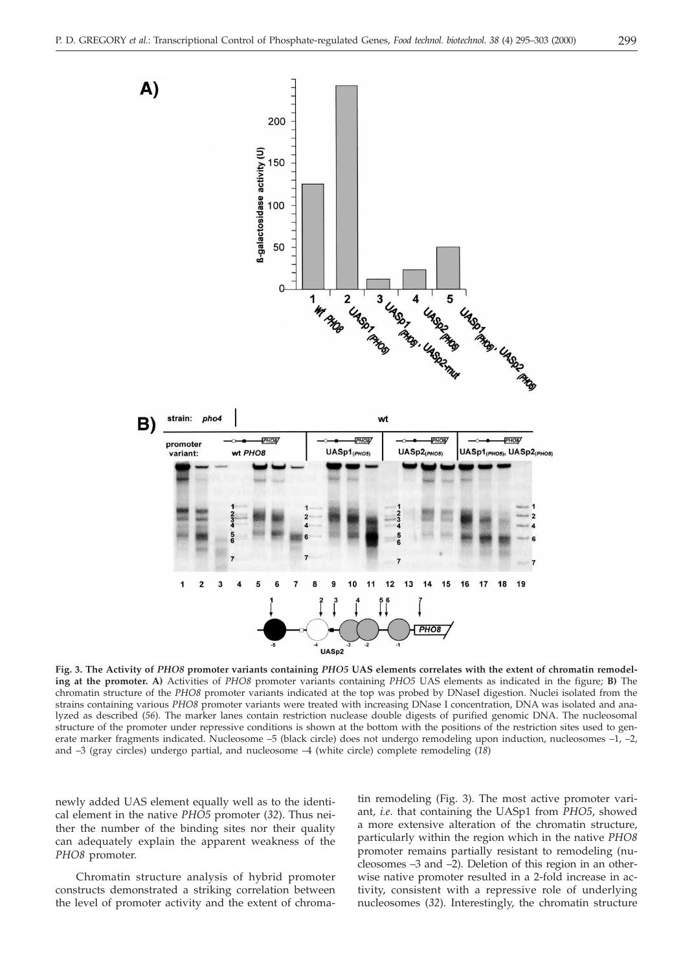

**Fig. 3. The Activity of** *PHO8* **promoter variants containing** *PHO5* **UAS elements correlates with the extent of chromatin remodeling at the promoter. A)** Activities of *PHO8* promoter variants containing *PHO5* UAS elements as indicated in the figure; **B)** The chromatin structure of the *PHO8* promoter variants indicated at the top was probed by DNaseI digestion. Nuclei isolated from the strains containing various *PHO8* promoter variants were treated with increasing DNase I concentration, DNA was isolated and analyzed as described (*56*). The marker lanes contain restriction nuclease double digests of purified genomic DNA. The nucleosomal structure of the promoter under repressive conditions is shown at the bottom with the positions of the restriction sites used to generate marker fragments indicated. Nucleosome –5 (black circle) does not undergo remodeling upon induction, nucleosomes –1, –2, and –3 (gray circles) undergo partial, and nucleosome –4 (white circle) complete remodeling (*18*)

newly added UAS element equally well as to the identical element in the native *PHO5* promoter (*32*). Thus neither the number of the binding sites nor their quality can adequately explain the apparent weakness of the *PHO8* promoter.

Chromatin structure analysis of hybrid promoter constructs demonstrated a striking correlation between the level of promoter activity and the extent of chroma-

tin remodeling (Fig. 3). The most active promoter variant, *i.e.* that containing the UASp1 from *PHO5*, showed a more extensive alteration of the chromatin structure, particularly within the region which in the native *PHO8* promoter remains partially resistant to remodeling (nucleosomes –3 and –2). Deletion of this region in an otherwise native promoter resulted in a 2-fold increase in activity, consistent with a repressive role of underlying nucleosomes (*32*). Interestingly, the chromatin structure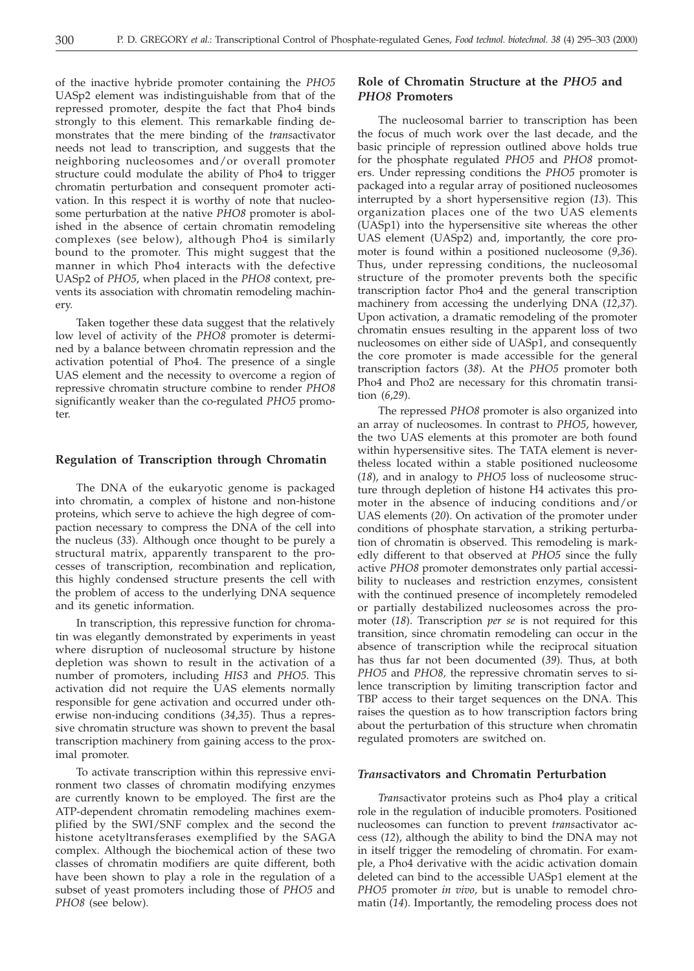of the inactive hybride promoter containing the *PHO5* UASp2 element was indistinguishable from that of the repressed promoter, despite the fact that Pho4 binds strongly to this element. This remarkable finding demonstrates that the mere binding of the *trans*activator needs not lead to transcription, and suggests that the neighboring nucleosomes and/or overall promoter structure could modulate the ability of Pho4 to trigger chromatin perturbation and consequent promoter activation. In this respect it is worthy of note that nucleosome perturbation at the native *PHO8* promoter is abolished in the absence of certain chromatin remodeling complexes (see below), although Pho4 is similarly bound to the promoter. This might suggest that the manner in which Pho4 interacts with the defective UASp2 of *PHO5*, when placed in the *PHO8* context, prevents its association with chromatin remodeling machinery.

Taken together these data suggest that the relatively low level of activity of the *PHO8* promoter is determined by a balance between chromatin repression and the activation potential of Pho4. The presence of a single UAS element and the necessity to overcome a region of repressive chromatin structure combine to render *PHO8* significantly weaker than the co-regulated *PHO5* promoter.

# **Regulation of Transcription through Chromatin**

The DNA of the eukaryotic genome is packaged into chromatin, a complex of histone and non-histone proteins, which serve to achieve the high degree of compaction necessary to compress the DNA of the cell into the nucleus (*33*). Although once thought to be purely a structural matrix, apparently transparent to the processes of transcription, recombination and replication, this highly condensed structure presents the cell with the problem of access to the underlying DNA sequence and its genetic information.

In transcription, this repressive function for chromatin was elegantly demonstrated by experiments in yeast where disruption of nucleosomal structure by histone depletion was shown to result in the activation of a number of promoters, including *HIS3* and *PHO5*. This activation did not require the UAS elements normally responsible for gene activation and occurred under otherwise non-inducing conditions (*34*,*35*). Thus a repressive chromatin structure was shown to prevent the basal transcription machinery from gaining access to the proximal promoter.

To activate transcription within this repressive environment two classes of chromatin modifying enzymes are currently known to be employed. The first are the ATP-dependent chromatin remodeling machines exemplified by the SWI/SNF complex and the second the histone acetyltransferases exemplified by the SAGA complex. Although the biochemical action of these two classes of chromatin modifiers are quite different, both have been shown to play a role in the regulation of a subset of yeast promoters including those of *PHO5* and *PHO8* (see below).

# **Role of Chromatin Structure at the** *PHO5* **and** *PHO8* **Promoters**

The nucleosomal barrier to transcription has been the focus of much work over the last decade, and the basic principle of repression outlined above holds true for the phosphate regulated *PHO5* and *PHO8* promoters. Under repressing conditions the *PHO5* promoter is packaged into a regular array of positioned nucleosomes interrupted by a short hypersensitive region (*13*). This organization places one of the two UAS elements (UASp1) into the hypersensitive site whereas the other UAS element (UASp2) and, importantly, the core promoter is found within a positioned nucleosome (*9*,*36*). Thus, under repressing conditions, the nucleosomal structure of the promoter prevents both the specific transcription factor Pho4 and the general transcription machinery from accessing the underlying DNA (*12*,*37*). Upon activation, a dramatic remodeling of the promoter chromatin ensues resulting in the apparent loss of two nucleosomes on either side of UASp1, and consequently the core promoter is made accessible for the general transcription factors (*38*). At the *PHO5* promoter both Pho4 and Pho2 are necessary for this chromatin transition (*6*,*29*).

The repressed *PHO8* promoter is also organized into an array of nucleosomes. In contrast to *PHO5*, however, the two UAS elements at this promoter are both found within hypersensitive sites. The TATA element is nevertheless located within a stable positioned nucleosome (*18*), and in analogy to *PHO5* loss of nucleosome structure through depletion of histone H4 activates this promoter in the absence of inducing conditions and/or UAS elements (*20*). On activation of the promoter under conditions of phosphate starvation, a striking perturbation of chromatin is observed. This remodeling is markedly different to that observed at *PHO5* since the fully active *PHO8* promoter demonstrates only partial accessibility to nucleases and restriction enzymes, consistent with the continued presence of incompletely remodeled or partially destabilized nucleosomes across the promoter (*18*). Transcription *per se* is not required for this transition, since chromatin remodeling can occur in the absence of transcription while the reciprocal situation has thus far not been documented (*39*). Thus, at both *PHO5* and *PHO8,* the repressive chromatin serves to silence transcription by limiting transcription factor and TBP access to their target sequences on the DNA. This raises the question as to how transcription factors bring about the perturbation of this structure when chromatin regulated promoters are switched on.

#### *Trans***activators and Chromatin Perturbation**

*Trans*activator proteins such as Pho4 play a critical role in the regulation of inducible promoters. Positioned nucleosomes can function to prevent *trans*activator access (*12*), although the ability to bind the DNA may not in itself trigger the remodeling of chromatin. For example, a Pho4 derivative with the acidic activation domain deleted can bind to the accessible UASp1 element at the *PHO5* promoter *in vivo*, but is unable to remodel chromatin (*14*). Importantly, the remodeling process does not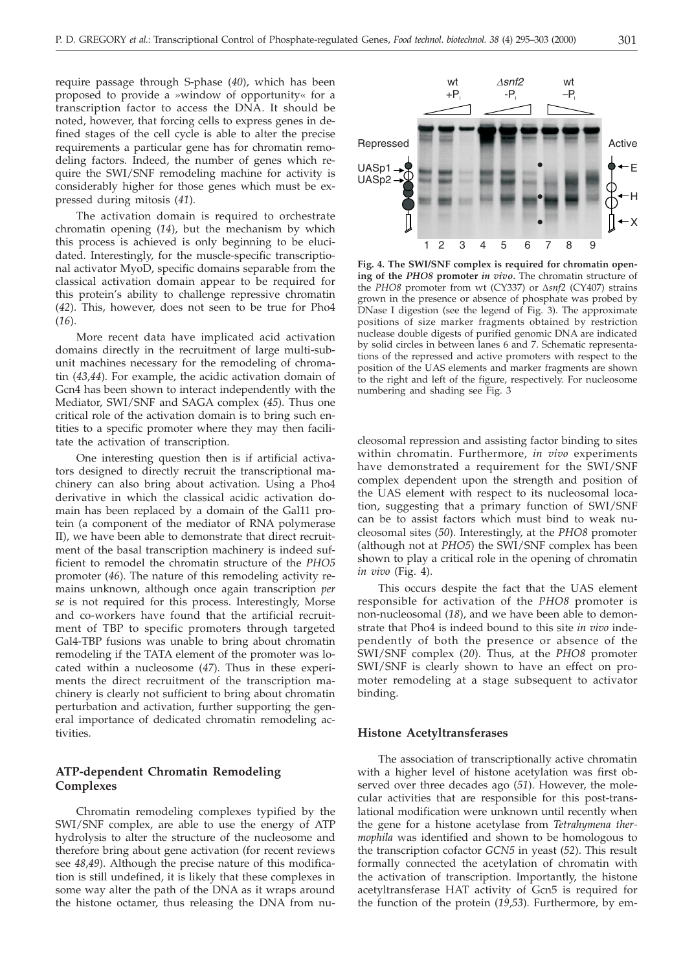require passage through S-phase (*40*), which has been proposed to provide a »window of opportunity« for a transcription factor to access the DNA. It should be noted, however, that forcing cells to express genes in defined stages of the cell cycle is able to alter the precise requirements a particular gene has for chromatin remodeling factors. Indeed, the number of genes which require the SWI/SNF remodeling machine for activity is considerably higher for those genes which must be expressed during mitosis (*41*).

The activation domain is required to orchestrate chromatin opening (*14*), but the mechanism by which this process is achieved is only beginning to be elucidated. Interestingly, for the muscle-specific transcriptional activator MyoD, specific domains separable from the classical activation domain appear to be required for this protein's ability to challenge repressive chromatin (*42*). This, however, does not seen to be true for Pho4 (*16*).

More recent data have implicated acid activation domains directly in the recruitment of large multi-subunit machines necessary for the remodeling of chromatin (*43*,*44*). For example, the acidic activation domain of Gcn4 has been shown to interact independently with the Mediator, SWI/SNF and SAGA complex (*45*). Thus one critical role of the activation domain is to bring such entities to a specific promoter where they may then facilitate the activation of transcription.

One interesting question then is if artificial activators designed to directly recruit the transcriptional machinery can also bring about activation. Using a Pho4 derivative in which the classical acidic activation domain has been replaced by a domain of the Gal11 protein (a component of the mediator of RNA polymerase II), we have been able to demonstrate that direct recruitment of the basal transcription machinery is indeed sufficient to remodel the chromatin structure of the *PHO5* promoter (*46*). The nature of this remodeling activity remains unknown, although once again transcription *per se* is not required for this process. Interestingly, Morse and co-workers have found that the artificial recruitment of TBP to specific promoters through targeted Gal4-TBP fusions was unable to bring about chromatin remodeling if the TATA element of the promoter was located within a nucleosome (*47*). Thus in these experiments the direct recruitment of the transcription machinery is clearly not sufficient to bring about chromatin perturbation and activation, further supporting the general importance of dedicated chromatin remodeling activities.

# **ATP-dependent Chromatin Remodeling Complexes**

Chromatin remodeling complexes typified by the SWI/SNF complex, are able to use the energy of ATP hydrolysis to alter the structure of the nucleosome and therefore bring about gene activation (for recent reviews see *48*,*49*). Although the precise nature of this modification is still undefined, it is likely that these complexes in some way alter the path of the DNA as it wraps around the histone octamer, thus releasing the DNA from nu-



**Fig. 4. The SWI/SNF complex is required for chromatin opening of the** *PHO8* **promoter** *in vivo.* The chromatin structure of the *PHO8* promoter from wt (CY337) or Δsnf2 (CY407) strains grown in the presence or absence of phosphate was probed by DNase I digestion (see the legend of Fig. 3). The approximate positions of size marker fragments obtained by restriction nuclease double digests of purified genomic DNA are indicated by solid circles in between lanes 6 and 7. Schematic representations of the repressed and active promoters with respect to the position of the UAS elements and marker fragments are shown to the right and left of the figure, respectively. For nucleosome numbering and shading see Fig. 3

cleosomal repression and assisting factor binding to sites within chromatin. Furthermore, *in vivo* experiments have demonstrated a requirement for the SWI/SNF complex dependent upon the strength and position of the UAS element with respect to its nucleosomal location, suggesting that a primary function of SWI/SNF can be to assist factors which must bind to weak nucleosomal sites (*50*). Interestingly, at the *PHO8* promoter (although not at *PHO5*) the SWI/SNF complex has been shown to play a critical role in the opening of chromatin *in vivo* (Fig. 4).

This occurs despite the fact that the UAS element responsible for activation of the *PHO8* promoter is non-nucleosomal (*18*), and we have been able to demonstrate that Pho4 is indeed bound to this site *in vivo* independently of both the presence or absence of the SWI/SNF complex (*20*). Thus, at the *PHO8* promoter SWI/SNF is clearly shown to have an effect on promoter remodeling at a stage subsequent to activator binding.

#### **Histone Acetyltransferases**

The association of transcriptionally active chromatin with a higher level of histone acetylation was first observed over three decades ago (*51*). However, the molecular activities that are responsible for this post-translational modification were unknown until recently when the gene for a histone acetylase from *Tetrahymena thermophila* was identified and shown to be homologous to the transcription cofactor *GCN5* in yeast (*52*). This result formally connected the acetylation of chromatin with the activation of transcription. Importantly, the histone acetyltransferase HAT activity of Gcn5 is required for the function of the protein (*19*,*53*). Furthermore, by em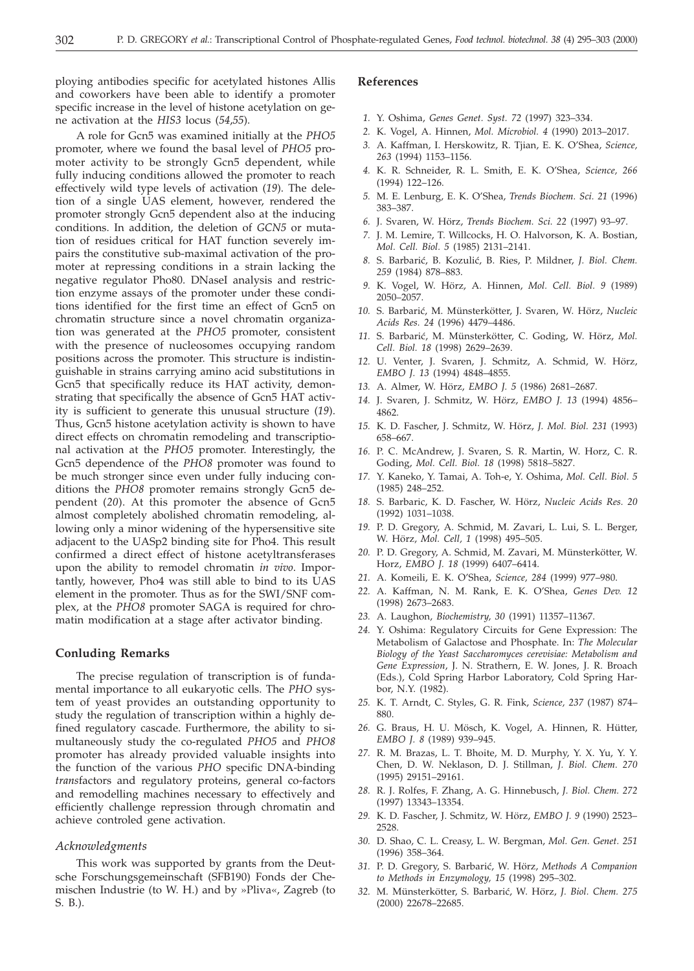ploying antibodies specific for acetylated histones Allis and coworkers have been able to identify a promoter specific increase in the level of histone acetylation on gene activation at the *HIS3* locus (*54*,*55*).

A role for Gcn5 was examined initially at the *PHO5* promoter, where we found the basal level of *PHO5* promoter activity to be strongly Gcn5 dependent, while fully inducing conditions allowed the promoter to reach effectively wild type levels of activation (*19*). The deletion of a single UAS element, however, rendered the promoter strongly Gcn5 dependent also at the inducing conditions. In addition, the deletion of *GCN5* or mutation of residues critical for HAT function severely impairs the constitutive sub-maximal activation of the promoter at repressing conditions in a strain lacking the negative regulator Pho80. DNaseI analysis and restriction enzyme assays of the promoter under these conditions identified for the first time an effect of Gcn5 on chromatin structure since a novel chromatin organization was generated at the *PHO5* promoter, consistent with the presence of nucleosomes occupying random positions across the promoter. This structure is indistinguishable in strains carrying amino acid substitutions in Gcn5 that specifically reduce its HAT activity, demonstrating that specifically the absence of Gcn5 HAT activity is sufficient to generate this unusual structure (*19*). Thus, Gcn5 histone acetylation activity is shown to have direct effects on chromatin remodeling and transcriptional activation at the *PHO5* promoter. Interestingly, the Gcn5 dependence of the *PHO8* promoter was found to be much stronger since even under fully inducing conditions the *PHO8* promoter remains strongly Gcn5 dependent (*20*). At this promoter the absence of Gcn5 almost completely abolished chromatin remodeling, allowing only a minor widening of the hypersensitive site adjacent to the UASp2 binding site for Pho4. This result confirmed a direct effect of histone acetyltransferases upon the ability to remodel chromatin *in vivo*. Importantly, however, Pho4 was still able to bind to its UAS element in the promoter. Thus as for the SWI/SNF complex, at the *PHO8* promoter SAGA is required for chromatin modification at a stage after activator binding.

# **Conluding Remarks**

The precise regulation of transcription is of fundamental importance to all eukaryotic cells. The *PHO* system of yeast provides an outstanding opportunity to study the regulation of transcription within a highly defined regulatory cascade. Furthermore, the ability to simultaneously study the co-regulated *PHO5* and *PHO8* promoter has already provided valuable insights into the function of the various *PHO* specific DNA-binding *trans*factors and regulatory proteins, general co-factors and remodelling machines necessary to effectively and efficiently challenge repression through chromatin and achieve controled gene activation.

#### *Acknowledgments*

This work was supported by grants from the Deutsche Forschungsgemeinschaft (SFB190) Fonds der Chemischen Industrie (to W. H.) and by »Pliva«, Zagreb (to S. B.).

### **References**

- *1.* Y. Oshima, *Genes Genet. Syst. 72* (1997) 323–334.
- *2.* K. Vogel, A. Hinnen, *Mol. Microbiol. 4* (1990) 2013–2017.
- *3.* A. Kaffman, I. Herskowitz, R. Tjian, E. K. O'Shea, *Science, 263* (1994) 1153–1156.
- *4.* K. R. Schneider, R. L. Smith, E. K. O'Shea, *Science, 266* (1994) 122–126.
- *5.* M. E. Lenburg, E. K. O'Shea, *Trends Biochem. Sci. 21* (1996) 383–387.
- *6.* J. Svaren, W. Hörz, *Trends Biochem. Sci. 22* (1997) 93–97.
- *7.* J. M. Lemire, T. Willcocks, H. O. Halvorson, K. A. Bostian, *Mol. Cell. Biol. 5* (1985) 2131–2141.
- 8. S. Barbarić, B. Kozulić, B. Ries, P. Mildner, *J. Biol. Chem. 259* (1984) 878–883.
- *9.* K. Vogel, W. Hörz, A. Hinnen, *Mol. Cell. Biol. 9* (1989) 2050–2057.
- *10.* S. Barbari}, M. Münsterkötter, J. Svaren, W. Hörz, *Nucleic Acids Res. 24* (1996) 4479–4486.
- *11.* S. Barbari}, M. Münsterkötter, C. Goding, W. Hörz, *Mol. Cell. Biol. 18* (1998) 2629–2639.
- *12.* U. Venter, J. Svaren, J. Schmitz, A. Schmid, W. Hörz, *EMBO J. 13* (1994) 4848–4855.
- *13.* A. Almer, W. Hörz, *EMBO J. 5* (1986) 2681–2687.
- *14.* J. Svaren, J. Schmitz, W. Hörz, *EMBO J. 13* (1994) 4856– 4862.
- *15.* K. D. Fascher, J. Schmitz, W. Hörz, *J. Mol. Biol. 231* (1993) 658–667.
- *16.* P. C. McAndrew, J. Svaren, S. R. Martin, W. Horz, C. R. Goding, *Mol. Cell. Biol. 18* (1998) 5818–5827.
- *17.* Y. Kaneko, Y. Tamai, A. Toh-e, Y. Oshima, *Mol. Cell. Biol. 5* (1985) 248–252.
- *18.* S. Barbaric, K. D. Fascher, W. Hörz, *Nucleic Acids Res. 20* (1992) 1031–1038.
- *19.* P. D. Gregory, A. Schmid, M. Zavari, L. Lui, S. L. Berger, W. Hörz, *Mol. Cell, 1* (1998) 495–505.
- *20.* P. D. Gregory, A. Schmid, M. Zavari, M. Münsterkötter, W. Horz, *EMBO J. 18* (1999) 6407–6414.
- *21.* A. Komeili, E. K. O'Shea, *Science, 284* (1999) 977–980.
- *22.* A. Kaffman, N. M. Rank, E. K. O'Shea, *Genes Dev. 12* (1998) 2673–2683.
- *23.* A. Laughon, *Biochemistry, 30* (1991) 11357–11367.
- *24.* Y. Oshima: Regulatory Circuits for Gene Expression: The Metabolism of Galactose and Phosphate. In: *The Molecular Biology of the Yeast Saccharomyces cerevisiae: Metabolism and Gene Expression*, J. N. Strathern, E. W. Jones, J. R. Broach (Eds.), Cold Spring Harbor Laboratory, Cold Spring Harbor, N.Y. (1982).
- *25.* K. T. Arndt, C. Styles, G. R. Fink, *Science, 237* (1987) 874– 880.
- *26.* G. Braus, H. U. Mösch, K. Vogel, A. Hinnen, R. Hütter, *EMBO J. 8* (1989) 939–945.
- *27.* R. M. Brazas, L. T. Bhoite, M. D. Murphy, Y. X. Yu, Y. Y. Chen, D. W. Neklason, D. J. Stillman, *J. Biol. Chem. 270* (1995) 29151–29161.
- *28.* R. J. Rolfes, F. Zhang, A. G. Hinnebusch, *J. Biol. Chem. 272* (1997) 13343–13354.
- *29.* K. D. Fascher, J. Schmitz, W. Hörz, *EMBO J. 9* (1990) 2523– 2528.
- *30.* D. Shao, C. L. Creasy, L. W. Bergman, *Mol. Gen. Genet. 251* (1996) 358–364.
- *31.* P. D. Gregory, S. Barbari}, W. Hörz, *Methods A Companion to Methods in Enzymology, 15* (1998) 295–302.
- *32.* M. Münsterkötter, S. Barbari}, W. Hörz, *J. Biol. Chem. 275* (2000) 22678–22685.